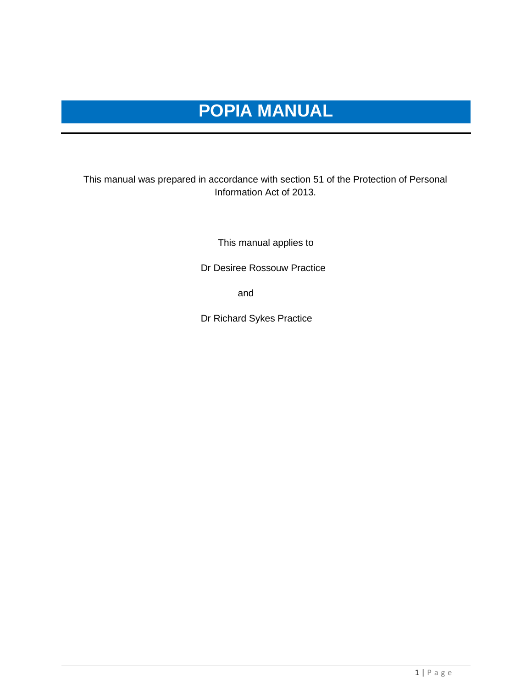# **POPIA MANUAL**

### This manual was prepared in accordance with section 51 of the Protection of Personal Information Act of 2013.

This manual applies to

Dr Desiree Rossouw Practice

and the contract of the contract of the contract of the contract of the contract of the contract of the contract of the contract of the contract of the contract of the contract of the contract of the contract of the contra

Dr Richard Sykes Practice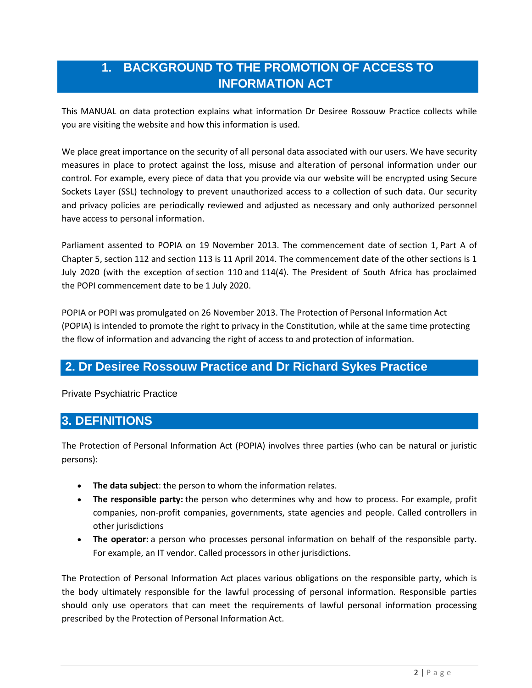# **1. BACKGROUND TO THE PROMOTION OF ACCESS TO INFORMATION ACT**

This MANUAL on data protection explains what information Dr Desiree Rossouw Practice collects while you are visiting the website and how this information is used.

We place great importance on the security of all personal data associated with our users. We have security measures in place to protect against the loss, misuse and alteration of personal information under our control. For example, every piece of data that you provide via our website will be encrypted using Secure Sockets Layer (SSL) technology to prevent unauthorized access to a collection of such data. Our security and privacy policies are periodically reviewed and adjusted as necessary and only authorized personnel have access to personal information.

Parliament assented to POPIA on 19 November 2013. The commencement date of [section](https://popia.co.za/section-1-definitions/) 1, [Part](https://popia.co.za/protection-of-personal-information-act-popia/chapter-5/part-a/) A of [Chapter](https://popia.co.za/protection-of-personal-information-act-popia/chapter-5/part-a/) 5, [section](https://popia.co.za/section-112-regulations/) 112 and [section](https://popia.co.za/section-113-procedure-for-making-regulations/) 113 is 11 April 2014. The commencement date of the other sections is 1 July 2020 (with the exception of [section](https://popia.co.za/section-110-amendment-of-laws/) 110 and [114\(4\).](https://popia.co.za/section-114-transitional-arrangements/) The President of South Africa has proclaimed the POPI [commencement](https://www.michalsons.com/blog/popi-commencement-date-popi-effective-date/13109) date to be 1 July 2020.

POPIA or POPI was promulgated on 26 November 2013. The Protection of Personal Information Act (POPIA) is intended to promote the right to privacy in the Constitution, while at the same time protecting the flow of information and advancing the right of access to and protection of information.

### **2. Dr Desiree Rossouw Practice and Dr Richard Sykes Practice**

Private Psychiatric Practice

### **3. DEFINITIONS**

The Protection of Personal Information Act (POPIA) involves three parties (who can be natural or juristic persons):

- **The data subject**: the person to whom the information relates.
- **The responsible party:** the person who determines why and how to process. For example, profit companies, non-profit companies, governments, state agencies and people. Called controllers in other jurisdictions
- **The operator:** a person who processes personal information on behalf of the responsible party. For example, an IT vendor. Called processors in other jurisdictions.

The Protection of Personal Information Act places various obligations on the responsible party, which is the body ultimately responsible for the lawful processing of personal information. Responsible parties should only use operators that can meet the requirements of lawful personal information processing prescribed by the Protection of Personal Information Act.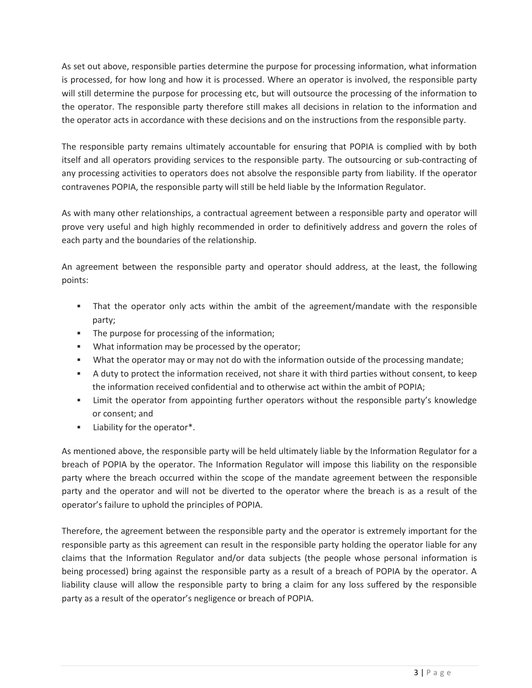As set out above, responsible parties determine the purpose for processing information, what information is processed, for how long and how it is processed. Where an operator is involved, the responsible party will still determine the purpose for processing etc, but will outsource the processing of the information to the operator. The responsible party therefore still makes all decisions in relation to the information and the operator acts in accordance with these decisions and on the instructions from the responsible party.

The responsible party remains ultimately accountable for ensuring that POPIA is complied with by both itself and all operators providing services to the responsible party. The outsourcing or sub-contracting of any processing activities to operators does not absolve the responsible party from liability. If the operator contravenes POPIA, the responsible party will still be held liable by the Information Regulator.

As with many other relationships, a contractual agreement between a responsible party and operator will prove very useful and high highly recommended in order to definitively address and govern the roles of each party and the boundaries of the relationship.

An agreement between the responsible party and operator should address, at the least, the following points:

- That the operator only acts within the ambit of the agreement/mandate with the responsible party;
- The purpose for processing of the information;
- What information may be processed by the operator;
- What the operator may or may not do with the information outside of the processing mandate;
- A duty to protect the information received, not share it with third parties without consent, to keep the information received confidential and to otherwise act within the ambit of POPIA;
- Limit the operator from appointing further operators without the responsible party's knowledge or consent; and
- Liability for the operator\*.

As mentioned above, the responsible party will be held ultimately liable by the Information Regulator for a breach of POPIA by the operator. The Information Regulator will impose this liability on the responsible party where the breach occurred within the scope of the mandate agreement between the responsible party and the operator and will not be diverted to the operator where the breach is as a result of the operator's failure to uphold the principles of POPIA.

Therefore, the agreement between the responsible party and the operator is extremely important for the responsible party as this agreement can result in the responsible party holding the operator liable for any claims that the Information Regulator and/or data subjects (the people whose personal information is being processed) bring against the responsible party as a result of a breach of POPIA by the operator. A liability clause will allow the responsible party to bring a claim for any loss suffered by the responsible party as a result of the operator's negligence or breach of POPIA.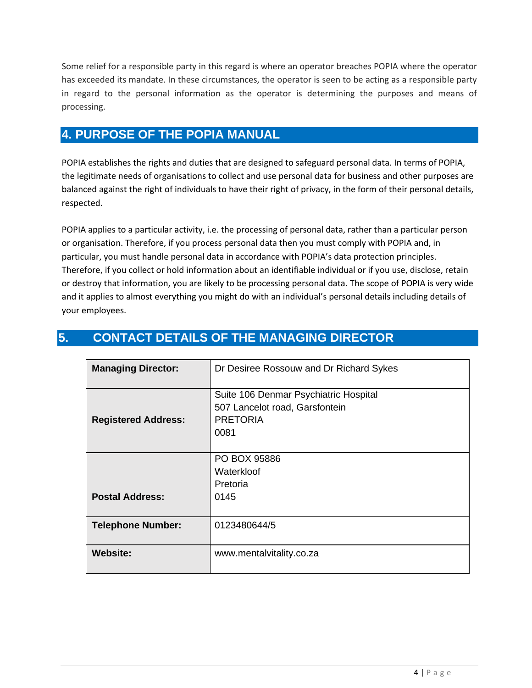Some relief for a responsible party in this regard is where an operator breaches POPIA where the operator has exceeded its mandate. In these circumstances, the operator is seen to be acting as a responsible party in regard to the personal information as the operator is determining the purposes and means of processing.

# **4. PURPOSE OF THE POPIA MANUAL**

POPIA establishes the rights and duties that are designed to safeguard personal data. In terms of POPIA, the legitimate needs of organisations to collect and use personal data for business and other purposes are balanced against the right of individuals to have their right of privacy, in the form of their personal details, respected.

POPIA applies to a particular activity, i.e. the processing of personal data, rather than a particular person or organisation. Therefore, if you process personal data then you must comply with POPIA and, in particular, you must handle personal data in accordance with POPIA's data protection principles. Therefore, if you collect or hold information about an identifiable individual or if you use, disclose, retain or destroy that information, you are likely to be processing personal data. The scope of POPIA is very wide and it applies to almost everything you might do with an individual's personal details including details of your employees.

| <b>Managing Director:</b>  | Dr Desiree Rossouw and Dr Richard Sykes                                                            |  |  |
|----------------------------|----------------------------------------------------------------------------------------------------|--|--|
| <b>Registered Address:</b> | Suite 106 Denmar Psychiatric Hospital<br>507 Lancelot road, Garsfontein<br><b>PRETORIA</b><br>0081 |  |  |
| <b>Postal Address:</b>     | PO BOX 95886<br>Waterkloof<br>Pretoria<br>0145                                                     |  |  |
| <b>Telephone Number:</b>   | 0123480644/5                                                                                       |  |  |
| <b>Website:</b>            | www.mentalvitality.co.za                                                                           |  |  |

# **5. CONTACT DETAILS OF THE MANAGING DIRECTOR**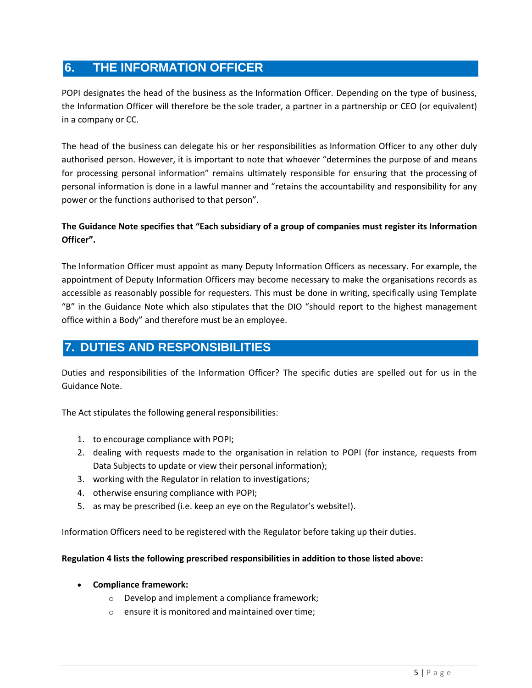# **6. THE INFORMATION OFFICER**

POPI designates the head of the business as the Information Officer. Depending on the type of business, the Information Officer will therefore be the sole trader, a partner in a partnership or CEO (or equivalent) in a company or CC.

The head of the business can delegate his or her responsibilities as Information Officer to any other duly authorised person. However, it is important to note that whoever "determines the purpose of and means for processing personal information" remains ultimately responsible for ensuring that the processing of personal information is done in a lawful manner and "retains the accountability and responsibility for any power or the functions authorised to that person".

### **The Guidance Note specifies that "Each subsidiary of a group of companies must register its Information Officer".**

The Information Officer must appoint as many Deputy Information Officers as necessary. For example, the appointment of Deputy Information Officers may become necessary to make the organisations records as accessible as reasonably possible for requesters. This must be done in writing, specifically using Template "B" in the Guidance Note which also stipulates that the DIO "should report to the highest management office within a Body" and therefore must be an employee.

# **7. DUTIES AND RESPONSIBILITIES**

Duties and responsibilities of the Information Officer? The specific duties are spelled out for us in the Guidance Note.

The Act stipulates the following general responsibilities:

- 1. to encourage compliance with POPI;
- 2. dealing with requests made to the organisation in relation to POPI (for instance, requests from Data Subjects to update or view their personal information);
- 3. working with the Regulator in relation to investigations;
- 4. otherwise ensuring compliance with POPI;
- 5. as may be prescribed (i.e. keep an eye on the Regulator's website!).

Information Officers need to be registered with the Regulator before taking up their duties.

#### **Regulation 4 lists the following prescribed responsibilities in addition to those listed above:**

- **Compliance framework:**
	- o Develop and implement a compliance framework;
	- o ensure it is monitored and maintained over time;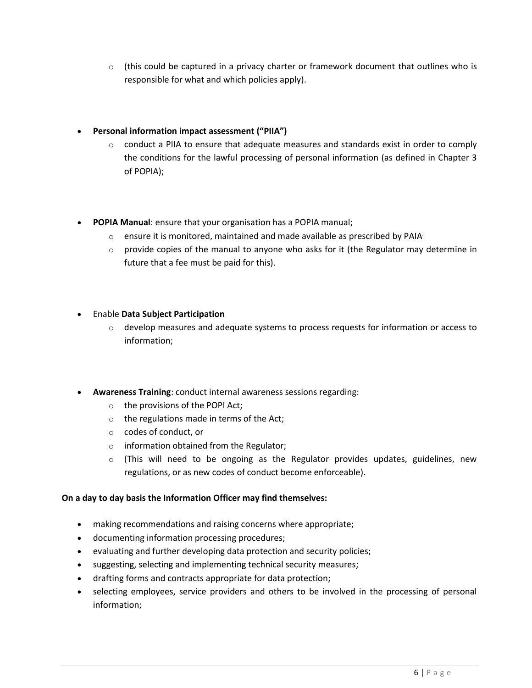$\circ$  (this could be captured in a privacy charter or framework document that outlines who is responsible for what and which policies apply).

#### • **Personal information impact assessment ("PIIA")**

- $\circ$  conduct a PIIA to ensure that adequate measures and standards exist in order to comply the conditions for the lawful processing of personal information (as defined in Chapter 3 of POPIA);
- **POPIA Manual**: ensure that your organisation has a POPIA manual;
	- $\circ$  ensure it is monitored, maintained and made available as prescribed by PAIA;
	- $\circ$  provide copies of the manual to anyone who asks for it (the Regulator may determine in future that a fee must be paid for this).

#### • Enable **Data Subject Participation**

- $\circ$  develop measures and adequate systems to process requests for information or access to information;
- **Awareness Training**: conduct internal awareness sessions regarding:
	- o the provisions of the POPI Act;
	- o the regulations made in terms of the Act;
	- o codes of conduct, or
	- o information obtained from the Regulator;
	- $\circ$  (This will need to be ongoing as the Regulator provides updates, guidelines, new regulations, or as new codes of conduct become enforceable).

#### **On a day to day basis the Information Officer may find themselves:**

- making recommendations and raising concerns where appropriate;
- documenting information processing procedures;
- evaluating and further developing data protection and security policies;
- suggesting, selecting and implementing technical security measures;
- drafting forms and contracts appropriate for data protection;
- selecting employees, service providers and others to be involved in the processing of personal information;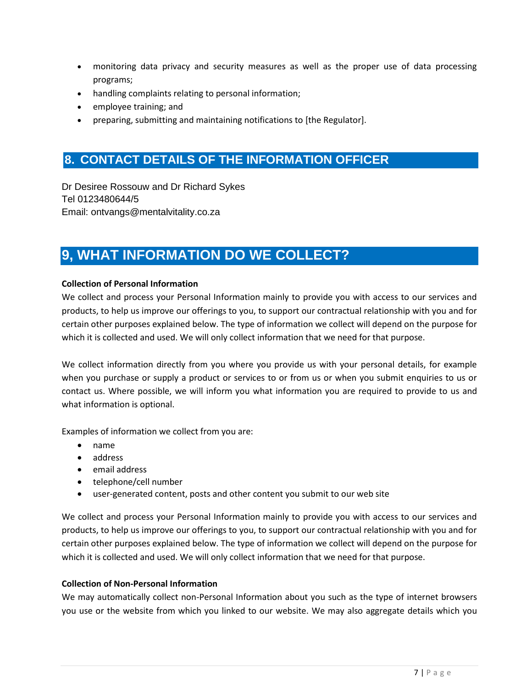- monitoring data privacy and security measures as well as the proper use of data processing programs;
- handling complaints relating to personal information;
- employee training; and
- preparing, submitting and maintaining notifications to [the Regulator].

# **8. CONTACT DETAILS OF THE INFORMATION OFFICER**

Dr Desiree Rossouw and Dr Richard Sykes Tel 0123480644/5 Email: ontvangs@mentalvitality.co.za

# **9, WHAT INFORMATION DO WE COLLECT?**

#### **Collection of Personal Information**

We collect and process your Personal Information mainly to provide you with access to our services and products, to help us improve our offerings to you, to support our contractual relationship with you and for certain other purposes explained below. The type of information we collect will depend on the purpose for which it is collected and used. We will only collect information that we need for that purpose.

We collect information directly from you where you provide us with your personal details, for example when you purchase or supply a product or services to or from us or when you submit enquiries to us or contact us. Where possible, we will inform you what information you are required to provide to us and what information is optional.

Examples of information we collect from you are:

- name
- address
- email address
- telephone/cell number
- user-generated content, posts and other content you submit to our web site

We collect and process your Personal Information mainly to provide you with access to our services and products, to help us improve our offerings to you, to support our contractual relationship with you and for certain other purposes explained below. The type of information we collect will depend on the purpose for which it is collected and used. We will only collect information that we need for that purpose.

#### **Collection of Non-Personal Information**

We may automatically collect non-Personal Information about you such as the type of internet browsers you use or the website from which you linked to our website. We may also aggregate details which you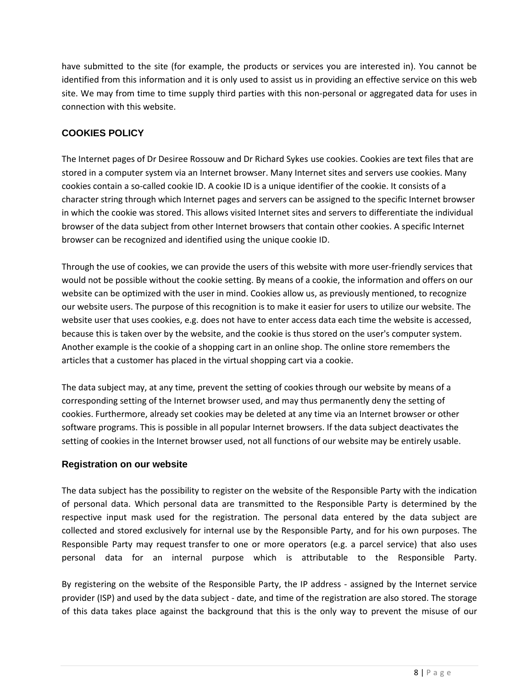have submitted to the site (for example, the products or services you are interested in). You cannot be identified from this information and it is only used to assist us in providing an effective service on this web site. We may from time to time supply third parties with this non-personal or aggregated data for uses in connection with this website.

### **COOKIES POLICY**

The Internet pages of Dr Desiree Rossouw and Dr Richard Sykes use cookies. Cookies are text files that are stored in a computer system via an Internet browser. Many Internet sites and servers use cookies. Many cookies contain a so-called cookie ID. A cookie ID is a unique identifier of the cookie. It consists of a character string through which Internet pages and servers can be assigned to the specific Internet browser in which the cookie was stored. This allows visited Internet sites and servers to differentiate the individual browser of the data subject from other Internet browsers that contain other cookies. A specific Internet browser can be recognized and identified using the unique cookie ID.

Through the use of cookies, we can provide the users of this website with more user-friendly services that would not be possible without the cookie setting. By means of a cookie, the information and offers on our website can be optimized with the user in mind. Cookies allow us, as previously mentioned, to recognize our website users. The purpose of this recognition is to make it easier for users to utilize our website. The website user that uses cookies, e.g. does not have to enter access data each time the website is accessed, because this is taken over by the website, and the cookie is thus stored on the user's computer system. Another example is the cookie of a shopping cart in an online shop. The online store remembers the articles that a customer has placed in the virtual shopping cart via a cookie.

The data subject may, at any time, prevent the setting of cookies through our website by means of a corresponding setting of the Internet browser used, and may thus permanently deny the setting of cookies. Furthermore, already set cookies may be deleted at any time via an Internet browser or other software programs. This is possible in all popular Internet browsers. If the data subject deactivates the setting of cookies in the Internet browser used, not all functions of our website may be entirely usable.

### **Registration on our website**

The data subject has the possibility to register on the website of the Responsible Party with the indication of personal data. Which personal data are transmitted to the Responsible Party is determined by the respective input mask used for the registration. The personal data entered by the data subject are collected and stored exclusively for internal use by the Responsible Party, and for his own purposes. The Responsible Party may request transfer to one or more operators (e.g. a parcel service) that also uses personal data for an internal purpose which is attributable to the Responsible Party.

By registering on the website of the Responsible Party, the IP address - assigned by the Internet service provider (ISP) and used by the data subject - date, and time of the registration are also stored. The storage of this data takes place against the background that this is the only way to prevent the misuse of our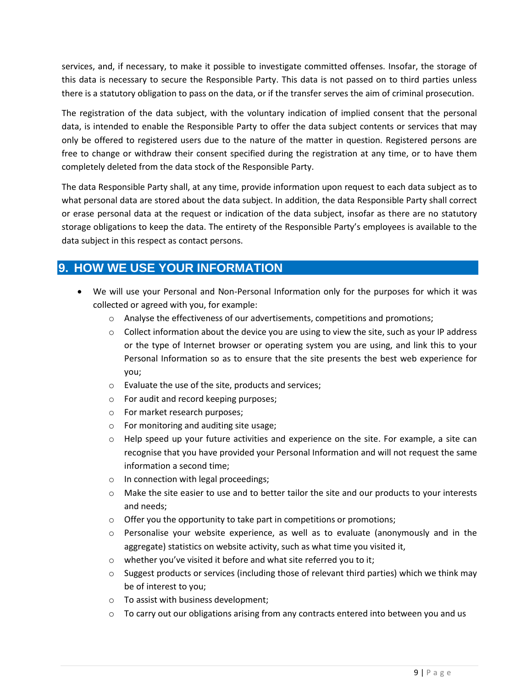services, and, if necessary, to make it possible to investigate committed offenses. Insofar, the storage of this data is necessary to secure the Responsible Party. This data is not passed on to third parties unless there is a statutory obligation to pass on the data, or if the transfer serves the aim of criminal prosecution.

The registration of the data subject, with the voluntary indication of implied consent that the personal data, is intended to enable the Responsible Party to offer the data subject contents or services that may only be offered to registered users due to the nature of the matter in question. Registered persons are free to change or withdraw their consent specified during the registration at any time, or to have them completely deleted from the data stock of the Responsible Party.

The data Responsible Party shall, at any time, provide information upon request to each data subject as to what personal data are stored about the data subject. In addition, the data Responsible Party shall correct or erase personal data at the request or indication of the data subject, insofar as there are no statutory storage obligations to keep the data. The entirety of the Responsible Party's employees is available to the data subject in this respect as contact persons.

# **9. HOW WE USE YOUR INFORMATION**

- We will use your Personal and Non-Personal Information only for the purposes for which it was collected or agreed with you, for example:
	- $\circ$  Analyse the effectiveness of our advertisements, competitions and promotions;
	- $\circ$  Collect information about the device you are using to view the site, such as your IP address or the type of Internet browser or operating system you are using, and link this to your Personal Information so as to ensure that the site presents the best web experience for you;
	- o Evaluate the use of the site, products and services;
	- o For audit and record keeping purposes;
	- o For market research purposes;
	- o For monitoring and auditing site usage;
	- $\circ$  Help speed up your future activities and experience on the site. For example, a site can recognise that you have provided your Personal Information and will not request the same information a second time;
	- o In connection with legal proceedings;
	- $\circ$  Make the site easier to use and to better tailor the site and our products to your interests and needs;
	- $\circ$  Offer you the opportunity to take part in competitions or promotions;
	- o Personalise your website experience, as well as to evaluate (anonymously and in the aggregate) statistics on website activity, such as what time you visited it,
	- o whether you've visited it before and what site referred you to it;
	- $\circ$  Suggest products or services (including those of relevant third parties) which we think may be of interest to you;
	- o To assist with business development;
	- $\circ$  To carry out our obligations arising from any contracts entered into between you and us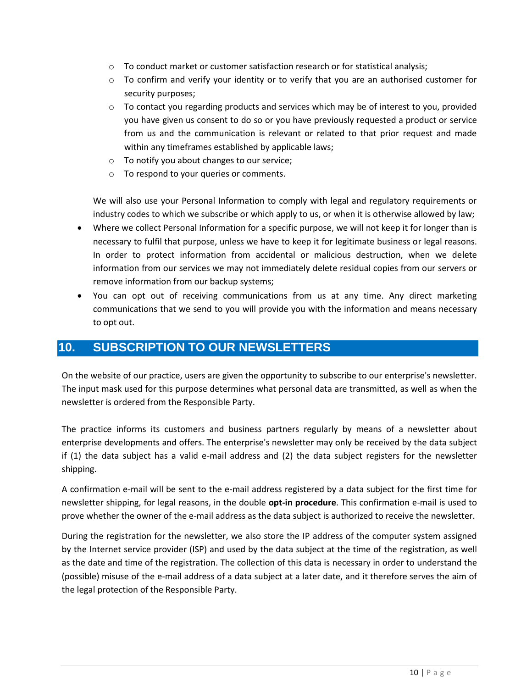- $\circ$  To conduct market or customer satisfaction research or for statistical analysis;
- $\circ$  To confirm and verify your identity or to verify that you are an authorised customer for security purposes;
- $\circ$  To contact you regarding products and services which may be of interest to you, provided you have given us consent to do so or you have previously requested a product or service from us and the communication is relevant or related to that prior request and made within any timeframes established by applicable laws;
- o To notify you about changes to our service;
- o To respond to your queries or comments.

We will also use your Personal Information to comply with legal and regulatory requirements or industry codes to which we subscribe or which apply to us, or when it is otherwise allowed by law;

- Where we collect Personal Information for a specific purpose, we will not keep it for longer than is necessary to fulfil that purpose, unless we have to keep it for legitimate business or legal reasons. In order to protect information from accidental or malicious destruction, when we delete information from our services we may not immediately delete residual copies from our servers or remove information from our backup systems;
- You can opt out of receiving communications from us at any time. Any direct marketing communications that we send to you will provide you with the information and means necessary to opt out.

### **10. SUBSCRIPTION TO OUR NEWSLETTERS**

On the website of our practice, users are given the opportunity to subscribe to our enterprise's newsletter. The input mask used for this purpose determines what personal data are transmitted, as well as when the newsletter is ordered from the Responsible Party.

The practice informs its customers and business partners regularly by means of a newsletter about enterprise developments and offers. The enterprise's newsletter may only be received by the data subject if (1) the data subject has a valid e-mail address and (2) the data subject registers for the newsletter shipping.

A confirmation e-mail will be sent to the e-mail address registered by a data subject for the first time for newsletter shipping, for legal reasons, in the double **opt-in procedure**. This confirmation e-mail is used to prove whether the owner of the e-mail address as the data subject is authorized to receive the newsletter.

During the registration for the newsletter, we also store the IP address of the computer system assigned by the Internet service provider (ISP) and used by the data subject at the time of the registration, as well as the date and time of the registration. The collection of this data is necessary in order to understand the (possible) misuse of the e-mail address of a data subject at a later date, and it therefore serves the aim of the legal protection of the Responsible Party.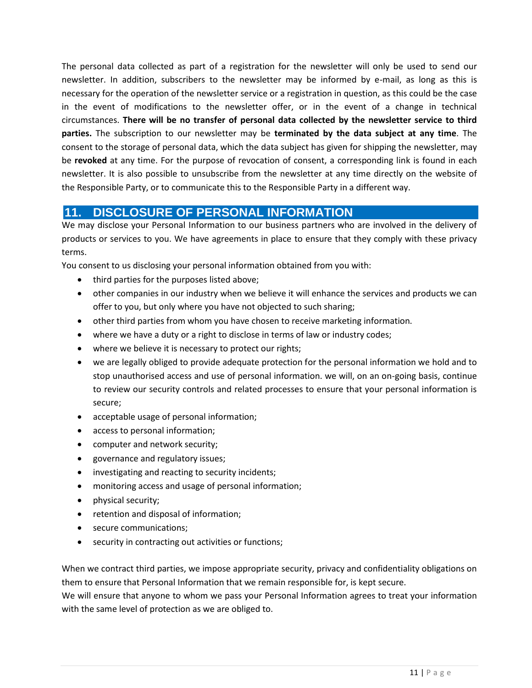The personal data collected as part of a registration for the newsletter will only be used to send our newsletter. In addition, subscribers to the newsletter may be informed by e-mail, as long as this is necessary for the operation of the newsletter service or a registration in question, as this could be the case in the event of modifications to the newsletter offer, or in the event of a change in technical circumstances. **There will be no transfer of personal data collected by the newsletter service to third parties.** The subscription to our newsletter may be **terminated by the data subject at any time**. The consent to the storage of personal data, which the data subject has given for shipping the newsletter, may be **revoked** at any time. For the purpose of revocation of consent, a corresponding link is found in each newsletter. It is also possible to unsubscribe from the newsletter at any time directly on the website of the Responsible Party, or to communicate this to the Responsible Party in a different way.

### **11. DISCLOSURE OF PERSONAL INFORMATION**

We may disclose your Personal Information to our business partners who are involved in the delivery of products or services to you. We have agreements in place to ensure that they comply with these privacy terms.

You consent to us disclosing your personal information obtained from you with:

- third parties for the purposes listed above;
- other companies in our industry when we believe it will enhance the services and products we can offer to you, but only where you have not objected to such sharing;
- other third parties from whom you have chosen to receive marketing information.
- where we have a duty or a right to disclose in terms of law or industry codes;
- where we believe it is necessary to protect our rights;
- we are legally obliged to provide adequate protection for the personal information we hold and to stop unauthorised access and use of personal information. we will, on an on-going basis, continue to review our security controls and related processes to ensure that your personal information is secure;
- acceptable usage of personal information;
- access to personal information;
- computer and network security;
- governance and regulatory issues;
- investigating and reacting to security incidents;
- monitoring access and usage of personal information;
- physical security;
- retention and disposal of information;
- secure communications;
- security in contracting out activities or functions;

When we contract third parties, we impose appropriate security, privacy and confidentiality obligations on them to ensure that Personal Information that we remain responsible for, is kept secure.

We will ensure that anyone to whom we pass your Personal Information agrees to treat your information with the same level of protection as we are obliged to.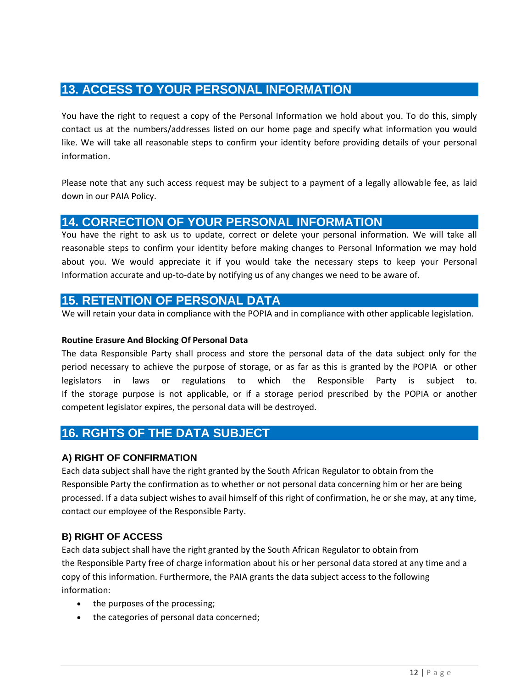# **13. ACCESS TO YOUR PERSONAL INFORMATION**

You have the right to request a copy of the Personal Information we hold about you. To do this, simply contact us at the numbers/addresses listed on our home page and specify what information you would like. We will take all reasonable steps to confirm your identity before providing details of your personal information.

Please note that any such access request may be subject to a payment of a legally allowable fee, as laid down in our PAIA Policy.

### **14. CORRECTION OF YOUR PERSONAL INFORMATION**

You have the right to ask us to update, correct or delete your personal information. We will take all reasonable steps to confirm your identity before making changes to Personal Information we may hold about you. We would appreciate it if you would take the necessary steps to keep your Personal Information accurate and up-to-date by notifying us of any changes we need to be aware of.

### **15. RETENTION OF PERSONAL DATA**

We will retain your data in compliance with the POPIA and in compliance with other applicable legislation.

#### **Routine Erasure And Blocking Of Personal Data**

The data Responsible Party shall process and store the personal data of the data subject only for the period necessary to achieve the purpose of storage, or as far as this is granted by the POPIA or other legislators in laws or regulations to which the Responsible Party is subject to. If the storage purpose is not applicable, or if a storage period prescribed by the POPIA or another competent legislator expires, the personal data will be destroyed.

### **16. RGHTS OF THE DATA SUBJECT**

### **A) RIGHT OF CONFIRMATION**

Each data subject shall have the right granted by the South African Regulator to obtain from the Responsible Party the confirmation as to whether or not personal data concerning him or her are being processed. If a data subject wishes to avail himself of this right of confirmation, he or she may, at any time, contact our employee of the Responsible Party.

### **B) RIGHT OF ACCESS**

Each data subject shall have the right granted by the South African Regulator to obtain from the Responsible Party free of charge information about his or her personal data stored at any time and a copy of this information. Furthermore, the PAIA grants the data subject access to the following information:

- the purposes of the processing;
- the categories of personal data concerned;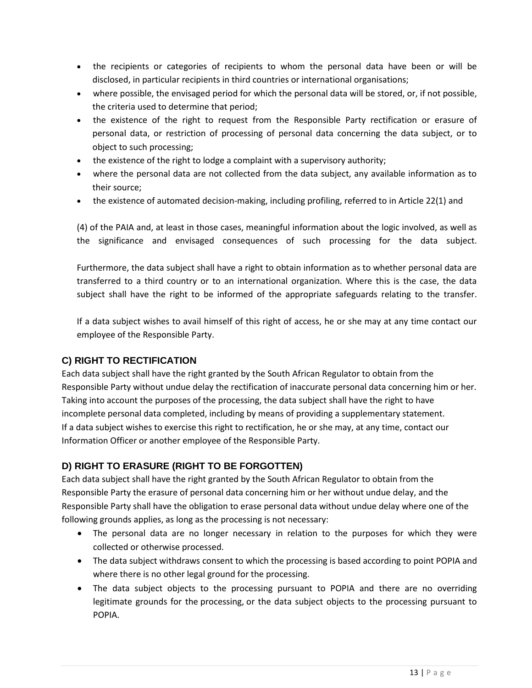- the recipients or categories of recipients to whom the personal data have been or will be disclosed, in particular recipients in third countries or international organisations;
- where possible, the envisaged period for which the personal data will be stored, or, if not possible, the criteria used to determine that period;
- the existence of the right to request from the Responsible Party rectification or erasure of personal data, or restriction of processing of personal data concerning the data subject, or to object to such processing;
- the existence of the right to lodge a complaint with a supervisory authority;
- where the personal data are not collected from the data subject, any available information as to their source;
- the existence of automated decision-making, including profiling, referred to in Article 22(1) and

(4) of the PAIA and, at least in those cases, meaningful information about the logic involved, as well as the significance and envisaged consequences of such processing for the data subject.

Furthermore, the data subject shall have a right to obtain information as to whether personal data are transferred to a third country or to an international organization. Where this is the case, the data subject shall have the right to be informed of the appropriate safeguards relating to the transfer.

If a data subject wishes to avail himself of this right of access, he or she may at any time contact our employee of the Responsible Party.

### **C) RIGHT TO RECTIFICATION**

Each data subject shall have the right granted by the South African Regulator to obtain from the Responsible Party without undue delay the rectification of inaccurate personal data concerning him or her. Taking into account the purposes of the processing, the data subject shall have the right to have incomplete personal data completed, including by means of providing a supplementary statement. If a data subject wishes to exercise this right to rectification, he or she may, at any time, contact our Information Officer or another employee of the Responsible Party.

### **D) RIGHT TO ERASURE (RIGHT TO BE FORGOTTEN)**

Each data subject shall have the right granted by the South African Regulator to obtain from the Responsible Party the erasure of personal data concerning him or her without undue delay, and the Responsible Party shall have the obligation to erase personal data without undue delay where one of the following grounds applies, as long as the processing is not necessary:

- The personal data are no longer necessary in relation to the purposes for which they were collected or otherwise processed.
- The data subject withdraws consent to which the processing is based according to point POPIA and where there is no other legal ground for the processing.
- The data subject objects to the processing pursuant to POPIA and there are no overriding legitimate grounds for the processing, or the data subject objects to the processing pursuant to POPIA.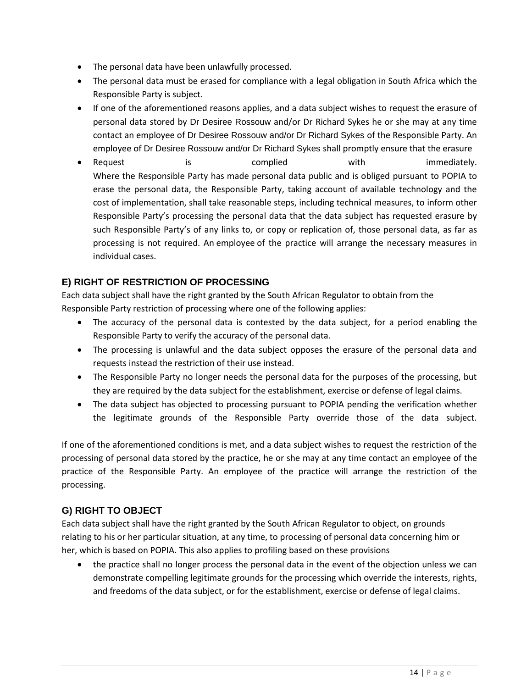- The personal data have been unlawfully processed.
- The personal data must be erased for compliance with a legal obligation in South Africa which the Responsible Party is subject.
- If one of the aforementioned reasons applies, and a data subject wishes to request the erasure of personal data stored by Dr Desiree Rossouw and/or Dr Richard Sykes he or she may at any time contact an employee of Dr Desiree Rossouw and/or Dr Richard Sykes of the Responsible Party. An employee of Dr Desiree Rossouw and/or Dr Richard Sykes shall promptly ensure that the erasure
- Request is is complied with immediately. Where the Responsible Party has made personal data public and is obliged pursuant to POPIA to erase the personal data, the Responsible Party, taking account of available technology and the cost of implementation, shall take reasonable steps, including technical measures, to inform other Responsible Party's processing the personal data that the data subject has requested erasure by such Responsible Party's of any links to, or copy or replication of, those personal data, as far as processing is not required. An employee of the practice will arrange the necessary measures in individual cases.

### **E) RIGHT OF RESTRICTION OF PROCESSING**

Each data subject shall have the right granted by the South African Regulator to obtain from the Responsible Party restriction of processing where one of the following applies:

- The accuracy of the personal data is contested by the data subject, for a period enabling the Responsible Party to verify the accuracy of the personal data.
- The processing is unlawful and the data subject opposes the erasure of the personal data and requests instead the restriction of their use instead.
- The Responsible Party no longer needs the personal data for the purposes of the processing, but they are required by the data subject for the establishment, exercise or defense of legal claims.
- The data subject has objected to processing pursuant to POPIA pending the verification whether the legitimate grounds of the Responsible Party override those of the data subject.

If one of the aforementioned conditions is met, and a data subject wishes to request the restriction of the processing of personal data stored by the practice, he or she may at any time contact an employee of the practice of the Responsible Party. An employee of the practice will arrange the restriction of the processing.

### **G) RIGHT TO OBJECT**

Each data subject shall have the right granted by the South African Regulator to object, on grounds relating to his or her particular situation, at any time, to processing of personal data concerning him or her, which is based on POPIA. This also applies to profiling based on these provisions

• the practice shall no longer process the personal data in the event of the objection unless we can demonstrate compelling legitimate grounds for the processing which override the interests, rights, and freedoms of the data subject, or for the establishment, exercise or defense of legal claims.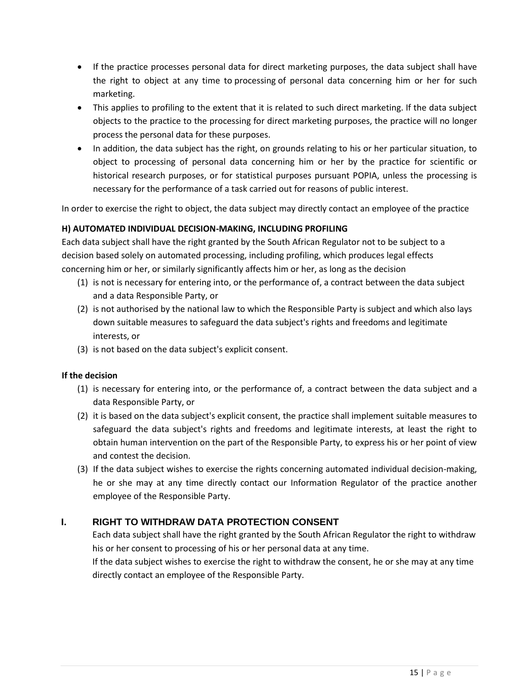- If the practice processes personal data for direct marketing purposes, the data subject shall have the right to object at any time to processing of personal data concerning him or her for such marketing.
- This applies to profiling to the extent that it is related to such direct marketing. If the data subject objects to the practice to the processing for direct marketing purposes, the practice will no longer process the personal data for these purposes.
- In addition, the data subject has the right, on grounds relating to his or her particular situation, to object to processing of personal data concerning him or her by the practice for scientific or historical research purposes, or for statistical purposes pursuant POPIA, unless the processing is necessary for the performance of a task carried out for reasons of public interest.

In order to exercise the right to object, the data subject may directly contact an employee of the practice

### **H) AUTOMATED INDIVIDUAL DECISION-MAKING, INCLUDING PROFILING**

Each data subject shall have the right granted by the South African Regulator not to be subject to a decision based solely on automated processing, including profiling, which produces legal effects concerning him or her, or similarly significantly affects him or her, as long as the decision

- (1) is not is necessary for entering into, or the performance of, a contract between the data subject and a data Responsible Party, or
- (2) is not authorised by the national law to which the Responsible Party is subject and which also lays down suitable measures to safeguard the data subject's rights and freedoms and legitimate interests, or
- (3) is not based on the data subject's explicit consent.

### **If the decision**

- (1) is necessary for entering into, or the performance of, a contract between the data subject and a data Responsible Party, or
- (2) it is based on the data subject's explicit consent, the practice shall implement suitable measures to safeguard the data subject's rights and freedoms and legitimate interests, at least the right to obtain human intervention on the part of the Responsible Party, to express his or her point of view and contest the decision.
- (3) If the data subject wishes to exercise the rights concerning automated individual decision-making, he or she may at any time directly contact our Information Regulator of the practice another employee of the Responsible Party.

### **I. RIGHT TO WITHDRAW DATA PROTECTION CONSENT**

Each data subject shall have the right granted by the South African Regulator the right to withdraw his or her consent to processing of his or her personal data at any time.

If the data subject wishes to exercise the right to withdraw the consent, he or she may at any time directly contact an employee of the Responsible Party.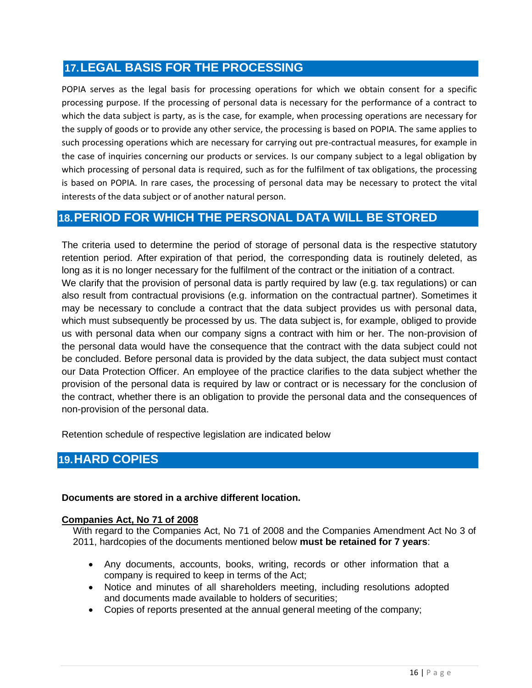# **17.LEGAL BASIS FOR THE PROCESSING**

POPIA serves as the legal basis for processing operations for which we obtain consent for a specific processing purpose. If the processing of personal data is necessary for the performance of a contract to which the data subject is party, as is the case, for example, when processing operations are necessary for the supply of goods or to provide any other service, the processing is based on POPIA. The same applies to such processing operations which are necessary for carrying out pre-contractual measures, for example in the case of inquiries concerning our products or services. Is our company subject to a legal obligation by which processing of personal data is required, such as for the fulfilment of tax obligations, the processing is based on POPIA. In rare cases, the processing of personal data may be necessary to protect the vital interests of the data subject or of another natural person.

# **18.PERIOD FOR WHICH THE PERSONAL DATA WILL BE STORED**

The criteria used to determine the period of storage of personal data is the respective statutory retention period. After expiration of that period, the corresponding data is routinely deleted, as long as it is no longer necessary for the fulfilment of the contract or the initiation of a contract. We clarify that the provision of personal data is partly required by law (e.g. tax regulations) or can also result from contractual provisions (e.g. information on the contractual partner). Sometimes it may be necessary to conclude a contract that the data subject provides us with personal data, which must subsequently be processed by us. The data subject is, for example, obliged to provide us with personal data when our company signs a contract with him or her. The non-provision of the personal data would have the consequence that the contract with the data subject could not be concluded. Before personal data is provided by the data subject, the data subject must contact our Data Protection Officer. An employee of the practice clarifies to the data subject whether the provision of the personal data is required by law or contract or is necessary for the conclusion of the contract, whether there is an obligation to provide the personal data and the consequences of non-provision of the personal data.

Retention schedule of respective legislation are indicated below

### **19.HARD COPIES**

### **Documents are stored in a archive different location.**

### **Companies Act, No 71 of 2008**

With regard to the Companies Act, No 71 of 2008 and the Companies Amendment Act No 3 of 2011, hardcopies of the documents mentioned below **must be retained for 7 years**:

- Any documents, accounts, books, writing, records or other information that a company is required to keep in terms of the Act;
- Notice and minutes of all shareholders meeting, including resolutions adopted and documents made available to holders of securities;
- Copies of reports presented at the annual general meeting of the company;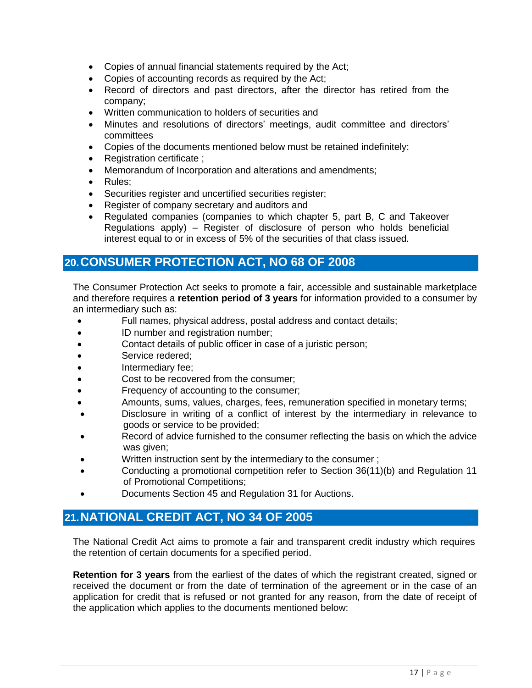- Copies of annual financial statements required by the Act;
- Copies of accounting records as required by the Act;
- Record of directors and past directors, after the director has retired from the company;
- Written communication to holders of securities and
- Minutes and resolutions of directors' meetings, audit committee and directors' committees
- Copies of the documents mentioned below must be retained indefinitely:
- Registration certificate ;
- Memorandum of Incorporation and alterations and amendments;
- Rules:
- Securities register and uncertified securities register;
- Register of company secretary and auditors and
- Regulated companies (companies to which chapter 5, part B, C and Takeover Regulations apply) – Register of disclosure of person who holds beneficial interest equal to or in excess of 5% of the securities of that class issued.

### **20.CONSUMER PROTECTION ACT, NO 68 OF 2008**

The Consumer Protection Act seeks to promote a fair, accessible and sustainable marketplace and therefore requires a **retention period of 3 years** for information provided to a consumer by an intermediary such as:

- Full names, physical address, postal address and contact details;
- ID number and registration number;
- Contact details of public officer in case of a juristic person;
- Service redered;
- Intermediary fee;
- Cost to be recovered from the consumer;
- Frequency of accounting to the consumer;
- Amounts, sums, values, charges, fees, remuneration specified in monetary terms;
- Disclosure in writing of a conflict of interest by the intermediary in relevance to goods or service to be provided;
- Record of advice furnished to the consumer reflecting the basis on which the advice was given;
- Written instruction sent by the intermediary to the consumer ;
- Conducting a promotional competition refer to Section 36(11)(b) and Regulation 11 of Promotional Competitions;
- Documents Section 45 and Regulation 31 for Auctions.

### **21.NATIONAL CREDIT ACT, NO 34 OF 2005**

The National Credit Act aims to promote a fair and transparent credit industry which requires the retention of certain documents for a specified period.

**Retention for 3 years** from the earliest of the dates of which the registrant created, signed or received the document or from the date of termination of the agreement or in the case of an application for credit that is refused or not granted for any reason, from the date of receipt of the application which applies to the documents mentioned below: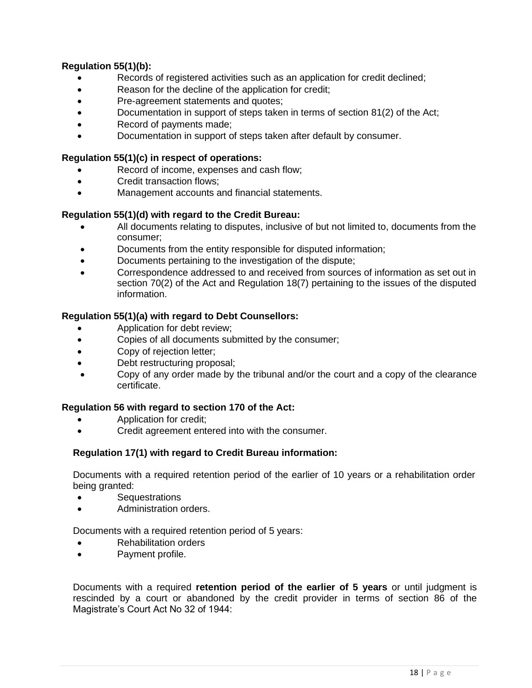### **Regulation 55(1)(b):**

- Records of registered activities such as an application for credit declined;
- Reason for the decline of the application for credit;
- Pre-agreement statements and quotes;
- Documentation in support of steps taken in terms of section 81(2) of the Act;
- Record of payments made;
- Documentation in support of steps taken after default by consumer.

#### **Regulation 55(1)(c) in respect of operations:**

- Record of income, expenses and cash flow;
- Credit transaction flows;
- Management accounts and financial statements.

#### **Regulation 55(1)(d) with regard to the Credit Bureau:**

- All documents relating to disputes, inclusive of but not limited to, documents from the consumer;
- Documents from the entity responsible for disputed information;
- Documents pertaining to the investigation of the dispute;
- Correspondence addressed to and received from sources of information as set out in section 70(2) of the Act and Regulation 18(7) pertaining to the issues of the disputed information.

#### **Regulation 55(1)(a) with regard to Debt Counsellors:**

- Application for debt review;
- Copies of all documents submitted by the consumer;
- Copy of rejection letter;
- Debt restructuring proposal;
- Copy of any order made by the tribunal and/or the court and a copy of the clearance certificate.

#### **Regulation 56 with regard to section 170 of the Act:**

- Application for credit;
- Credit agreement entered into with the consumer.

#### **Regulation 17(1) with regard to Credit Bureau information:**

Documents with a required retention period of the earlier of 10 years or a rehabilitation order being granted:

- Sequestrations
- Administration orders.

Documents with a required retention period of 5 years:

- Rehabilitation orders
- Payment profile.

Documents with a required **retention period of the earlier of 5 years** or until judgment is rescinded by a court or abandoned by the credit provider in terms of section 86 of the Magistrate's Court Act No 32 of 1944: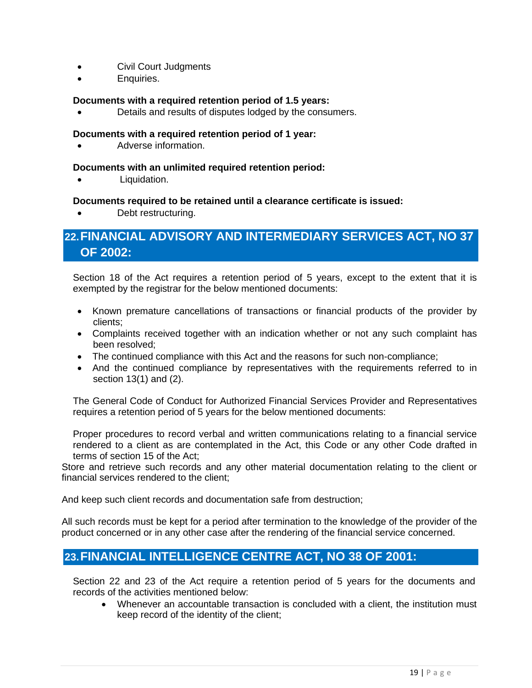- Civil Court Judgments
- Enquiries.

### **Documents with a required retention period of 1.5 years:**

• Details and results of disputes lodged by the consumers.

### **Documents with a required retention period of 1 year:**

• Adverse information.

#### **Documents with an unlimited required retention period:**

Liquidation.

#### **Documents required to be retained until a clearance certificate is issued:**

Debt restructuring.

# **22.FINANCIAL ADVISORY AND INTERMEDIARY SERVICES ACT, NO 37 OF 2002:**

Section 18 of the Act requires a retention period of 5 years, except to the extent that it is exempted by the registrar for the below mentioned documents:

- Known premature cancellations of transactions or financial products of the provider by clients;
- Complaints received together with an indication whether or not any such complaint has been resolved;
- The continued compliance with this Act and the reasons for such non-compliance;
- And the continued compliance by representatives with the requirements referred to in section 13(1) and (2).

The General Code of Conduct for Authorized Financial Services Provider and Representatives requires a retention period of 5 years for the below mentioned documents:

Proper procedures to record verbal and written communications relating to a financial service rendered to a client as are contemplated in the Act, this Code or any other Code drafted in terms of section 15 of the Act;

Store and retrieve such records and any other material documentation relating to the client or financial services rendered to the client;

And keep such client records and documentation safe from destruction;

All such records must be kept for a period after termination to the knowledge of the provider of the product concerned or in any other case after the rendering of the financial service concerned.

### **23.FINANCIAL INTELLIGENCE CENTRE ACT, NO 38 OF 2001:**

Section 22 and 23 of the Act require a retention period of 5 years for the documents and records of the activities mentioned below:

• Whenever an accountable transaction is concluded with a client, the institution must keep record of the identity of the client;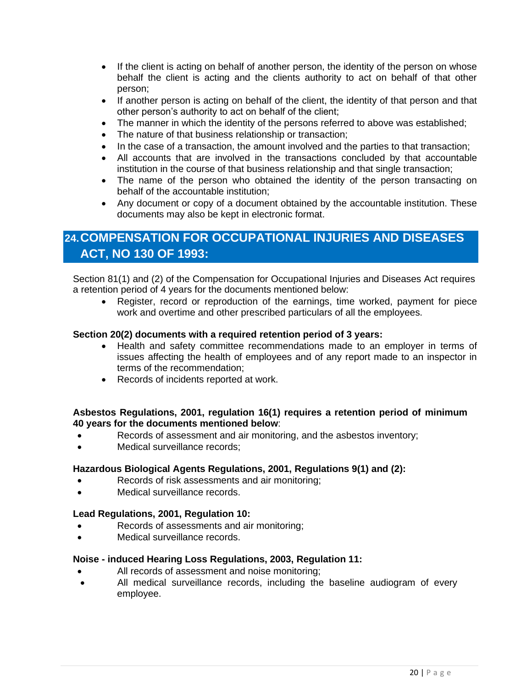- If the client is acting on behalf of another person, the identity of the person on whose behalf the client is acting and the clients authority to act on behalf of that other person;
- If another person is acting on behalf of the client, the identity of that person and that other person's authority to act on behalf of the client;
- The manner in which the identity of the persons referred to above was established;
- The nature of that business relationship or transaction;
- In the case of a transaction, the amount involved and the parties to that transaction;
- All accounts that are involved in the transactions concluded by that accountable institution in the course of that business relationship and that single transaction;
- The name of the person who obtained the identity of the person transacting on behalf of the accountable institution;
- Any document or copy of a document obtained by the accountable institution. These documents may also be kept in electronic format.

# **24.COMPENSATION FOR OCCUPATIONAL INJURIES AND DISEASES ACT, NO 130 OF 1993:**

Section 81(1) and (2) of the Compensation for Occupational Injuries and Diseases Act requires a retention period of 4 years for the documents mentioned below:

• Register, record or reproduction of the earnings, time worked, payment for piece work and overtime and other prescribed particulars of all the employees.

#### **Section 20(2) documents with a required retention period of 3 years:**

- Health and safety committee recommendations made to an employer in terms of issues affecting the health of employees and of any report made to an inspector in terms of the recommendation;
- Records of incidents reported at work.

#### **Asbestos Regulations, 2001, regulation 16(1) requires a retention period of minimum 40 years for the documents mentioned below**:

- Records of assessment and air monitoring, and the asbestos inventory;
- Medical surveillance records:

### **Hazardous Biological Agents Regulations, 2001, Regulations 9(1) and (2):**

- Records of risk assessments and air monitoring;
- Medical surveillance records.

#### **Lead Regulations, 2001, Regulation 10:**

- Records of assessments and air monitoring;
- Medical surveillance records.

#### **Noise - induced Hearing Loss Regulations, 2003, Regulation 11:**

- All records of assessment and noise monitoring;
- All medical surveillance records, including the baseline audiogram of every employee.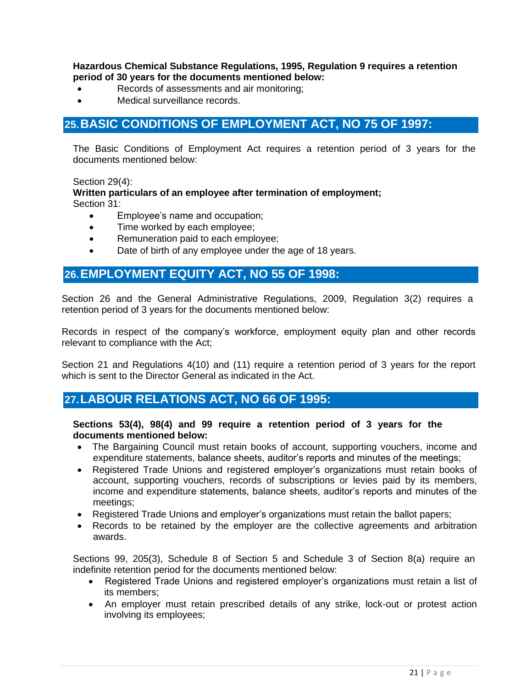#### **Hazardous Chemical Substance Regulations, 1995, Regulation 9 requires a retention period of 30 years for the documents mentioned below:**

- Records of assessments and air monitoring;
- Medical surveillance records.

### **25.BASIC CONDITIONS OF EMPLOYMENT ACT, NO 75 OF 1997:**

The Basic Conditions of Employment Act requires a retention period of 3 years for the documents mentioned below:

Section 29(4):

**Written particulars of an employee after termination of employment;** Section 31:

- Employee's name and occupation;
- Time worked by each employee;
- Remuneration paid to each employee;
- Date of birth of any employee under the age of 18 years.

### **26.EMPLOYMENT EQUITY ACT, NO 55 OF 1998:**

Section 26 and the General Administrative Regulations, 2009, Regulation 3(2) requires a retention period of 3 years for the documents mentioned below:

Records in respect of the company's workforce, employment equity plan and other records relevant to compliance with the Act;

Section 21 and Regulations 4(10) and (11) require a retention period of 3 years for the report which is sent to the Director General as indicated in the Act.

### **27.LABOUR RELATIONS ACT, NO 66 OF 1995:**

#### **Sections 53(4), 98(4) and 99 require a retention period of 3 years for the documents mentioned below:**

- The Bargaining Council must retain books of account, supporting vouchers, income and expenditure statements, balance sheets, auditor's reports and minutes of the meetings;
- Registered Trade Unions and registered employer's organizations must retain books of account, supporting vouchers, records of subscriptions or levies paid by its members, income and expenditure statements, balance sheets, auditor's reports and minutes of the meetings;
- Registered Trade Unions and employer's organizations must retain the ballot papers;
- Records to be retained by the employer are the collective agreements and arbitration awards.

Sections 99, 205(3), Schedule 8 of Section 5 and Schedule 3 of Section 8(a) require an indefinite retention period for the documents mentioned below:

- Registered Trade Unions and registered employer's organizations must retain a list of its members;
- An employer must retain prescribed details of any strike, lock-out or protest action involving its employees;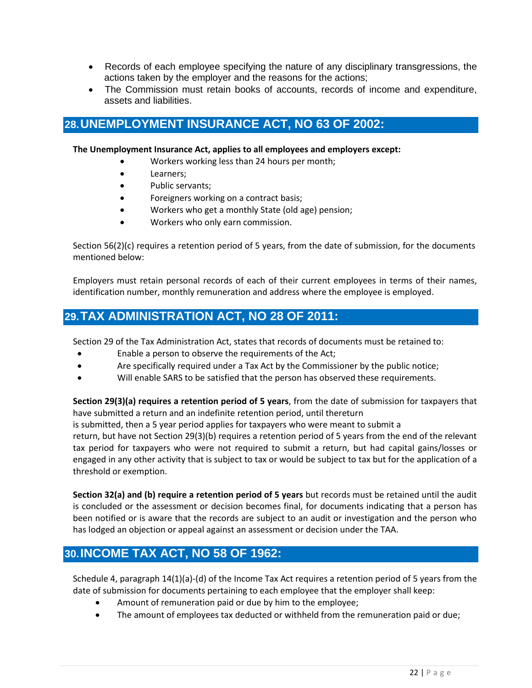- Records of each employee specifying the nature of any disciplinary transgressions, the actions taken by the employer and the reasons for the actions;
- The Commission must retain books of accounts, records of income and expenditure, assets and liabilities.

### **28.UNEMPLOYMENT INSURANCE ACT, NO 63 OF 2002:**

#### **The Unemployment Insurance Act, applies to all employees and employers except:**

- Workers working less than 24 hours per month;
- Learners;
- Public servants;
- Foreigners working on a contract basis;
- Workers who get a monthly State (old age) pension;
- Workers who only earn commission.

Section 56(2)(c) requires a retention period of 5 years, from the date of submission, for the documents mentioned below:

Employers must retain personal records of each of their current employees in terms of their names, identification number, monthly remuneration and address where the employee is employed.

# **29.TAX ADMINISTRATION ACT, NO 28 OF 2011:**

Section 29 of the Tax Administration Act, states that records of documents must be retained to:

- Enable a person to observe the requirements of the Act;
- Are specifically required under a Tax Act by the Commissioner by the public notice;
- Will enable SARS to be satisfied that the person has observed these requirements.

**Section 29(3)(a) requires a retention period of 5 years**, from the date of submission for taxpayers that have submitted a return and an indefinite retention period, until thereturn

is submitted, then a 5 year period applies for taxpayers who were meant to submit a

return, but have not Section 29(3)(b) requires a retention period of 5 years from the end of the relevant tax period for taxpayers who were not required to submit a return, but had capital gains/losses or engaged in any other activity that is subject to tax or would be subject to tax but for the application of a threshold or exemption.

**Section 32(a) and (b) require a retention period of 5 years** but records must be retained until the audit is concluded or the assessment or decision becomes final, for documents indicating that a person has been notified or is aware that the records are subject to an audit or investigation and the person who has lodged an objection or appeal against an assessment or decision under the TAA.

# **30.INCOME TAX ACT, NO 58 OF 1962:**

Schedule 4, paragraph 14(1)(a)-(d) of the Income Tax Act requires a retention period of 5 years from the date of submission for documents pertaining to each employee that the employer shall keep:

- Amount of remuneration paid or due by him to the employee;
- The amount of employees tax deducted or withheld from the remuneration paid or due;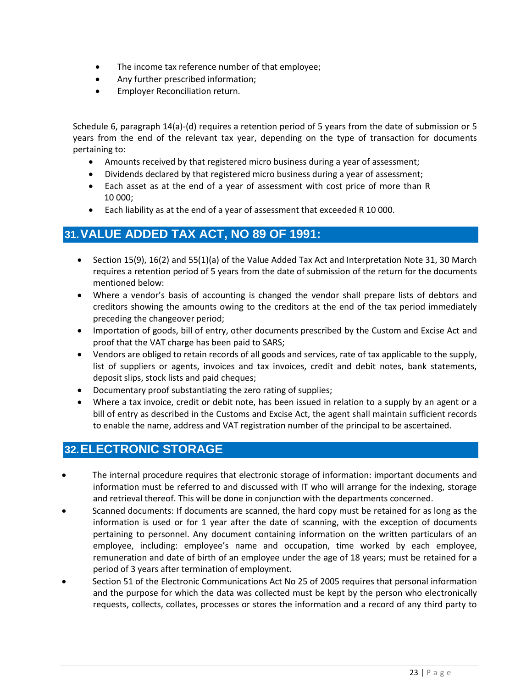- The income tax reference number of that employee;
- Any further prescribed information;
- Employer Reconciliation return.

Schedule 6, paragraph 14(a)-(d) requires a retention period of 5 years from the date of submission or 5 years from the end of the relevant tax year, depending on the type of transaction for documents pertaining to:

- Amounts received by that registered micro business during a year of assessment;
- Dividends declared by that registered micro business during a year of assessment;
- Each asset as at the end of a year of assessment with cost price of more than R 10 000;
- Each liability as at the end of a year of assessment that exceeded R 10 000.

### **31.VALUE ADDED TAX ACT, NO 89 OF 1991:**

- Section 15(9), 16(2) and 55(1)(a) of the Value Added Tax Act and Interpretation Note 31, 30 March requires a retention period of 5 years from the date of submission of the return for the documents mentioned below:
- Where a vendor's basis of accounting is changed the vendor shall prepare lists of debtors and creditors showing the amounts owing to the creditors at the end of the tax period immediately preceding the changeover period;
- Importation of goods, bill of entry, other documents prescribed by the Custom and Excise Act and proof that the VAT charge has been paid to SARS;
- Vendors are obliged to retain records of all goods and services, rate of tax applicable to the supply, list of suppliers or agents, invoices and tax invoices, credit and debit notes, bank statements, deposit slips, stock lists and paid cheques;
- Documentary proof substantiating the zero rating of supplies;
- Where a tax invoice, credit or debit note, has been issued in relation to a supply by an agent or a bill of entry as described in the Customs and Excise Act, the agent shall maintain sufficient records to enable the name, address and VAT registration number of the principal to be ascertained.

### **32.ELECTRONIC STORAGE**

- The internal procedure requires that electronic storage of information: important documents and information must be referred to and discussed with IT who will arrange for the indexing, storage and retrieval thereof. This will be done in conjunction with the departments concerned.
- Scanned documents: If documents are scanned, the hard copy must be retained for as long as the information is used or for 1 year after the date of scanning, with the exception of documents pertaining to personnel. Any document containing information on the written particulars of an employee, including: employee's name and occupation, time worked by each employee, remuneration and date of birth of an employee under the age of 18 years; must be retained for a period of 3 years after termination of employment.
- Section 51 of the Electronic Communications Act No 25 of 2005 requires that personal information and the purpose for which the data was collected must be kept by the person who electronically requests, collects, collates, processes or stores the information and a record of any third party to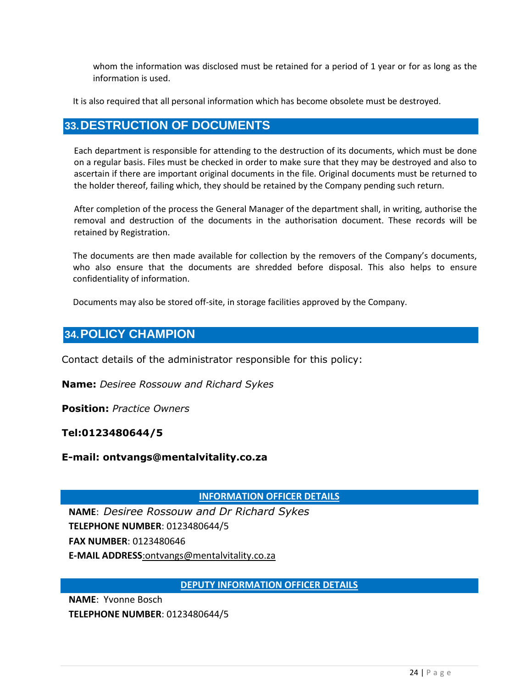whom the information was disclosed must be retained for a period of 1 year or for as long as the information is used.

It is also required that all personal information which has become obsolete must be destroyed.

### **33.DESTRUCTION OF DOCUMENTS**

Each department is responsible for attending to the destruction of its documents, which must be done on a regular basis. Files must be checked in order to make sure that they may be destroyed and also to ascertain if there are important original documents in the file. Original documents must be returned to the holder thereof, failing which, they should be retained by the Company pending such return.

After completion of the process the General Manager of the department shall, in writing, authorise the removal and destruction of the documents in the authorisation document. These records will be retained by Registration.

The documents are then made available for collection by the removers of the Company's documents, who also ensure that the documents are shredded before disposal. This also helps to ensure confidentiality of information.

Documents may also be stored off-site, in storage facilities approved by the Company.

### **34.POLICY CHAMPION**

Contact details of the administrator responsible for this policy:

**Name:** *Desiree Rossouw and Richard Sykes*

**Position:** *Practice Owners*

**Tel:0123480644/5**

**E-mail: ontvangs@mentalvitality.co.za**

**INFORMATION OFFICER DETAILS**

**NAME**: *Desiree Rossouw and Dr Richard Sykes* **TELEPHONE NUMBER**: 0123480644/5 **FAX NUMBER**: 0123480646 **E-MAIL ADDRESS**:ontvangs@mentalvitality.co.za

**DEPUTY INFORMATION OFFICER DETAILS**

**NAME**: Yvonne Bosch

**TELEPHONE NUMBER**: 0123480644/5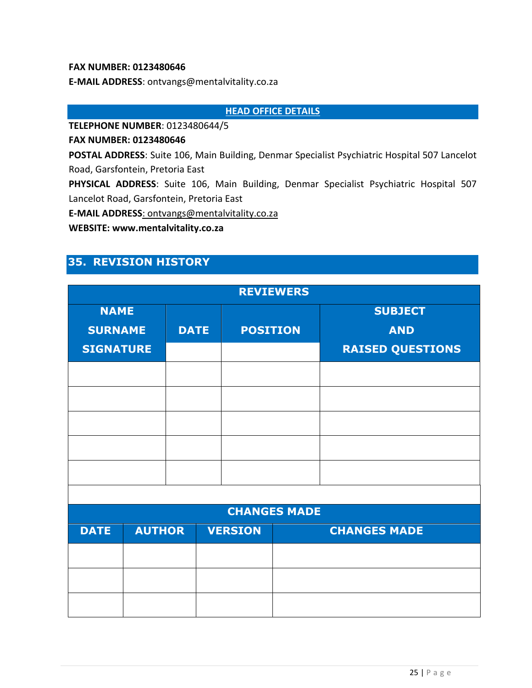#### **FAX NUMBER: 0123480646**

**E-MAIL ADDRESS**: ontvangs@mentalvitality.co.za

**HEAD OFFICE DETAILS**

**TELEPHONE NUMBER**: 0123480644/5

**FAX NUMBER: 0123480646**

**POSTAL ADDRESS**: Suite 106, Main Building, Denmar Specialist Psychiatric Hospital 507 Lancelot Road, Garsfontein, Pretoria East

**PHYSICAL ADDRESS**: Suite 106, Main Building, Denmar Specialist Psychiatric Hospital 507 Lancelot Road, Garsfontein, Pretoria East

**E-MAIL ADDRESS**: ontvangs@mentalvitality.co.za

**WEBSITE: www.mentalvitality.co.za**

# **35. REVISION HISTORY**

| <b>REVIEWERS</b>    |               |             |                 |  |                         |  |  |  |
|---------------------|---------------|-------------|-----------------|--|-------------------------|--|--|--|
| <b>NAME</b>         |               |             |                 |  | <b>SUBJECT</b>          |  |  |  |
| <b>SURNAME</b>      |               | <b>DATE</b> | <b>POSITION</b> |  | <b>AND</b>              |  |  |  |
| <b>SIGNATURE</b>    |               |             |                 |  | <b>RAISED QUESTIONS</b> |  |  |  |
|                     |               |             |                 |  |                         |  |  |  |
|                     |               |             |                 |  |                         |  |  |  |
|                     |               |             |                 |  |                         |  |  |  |
|                     |               |             |                 |  |                         |  |  |  |
|                     |               |             |                 |  |                         |  |  |  |
|                     |               |             |                 |  |                         |  |  |  |
|                     |               |             |                 |  |                         |  |  |  |
| <b>CHANGES MADE</b> |               |             |                 |  |                         |  |  |  |
| <b>DATE</b>         | <b>AUTHOR</b> |             | <b>VERSION</b>  |  | <b>CHANGES MADE</b>     |  |  |  |
|                     |               |             |                 |  |                         |  |  |  |
|                     |               |             |                 |  |                         |  |  |  |
|                     |               |             |                 |  |                         |  |  |  |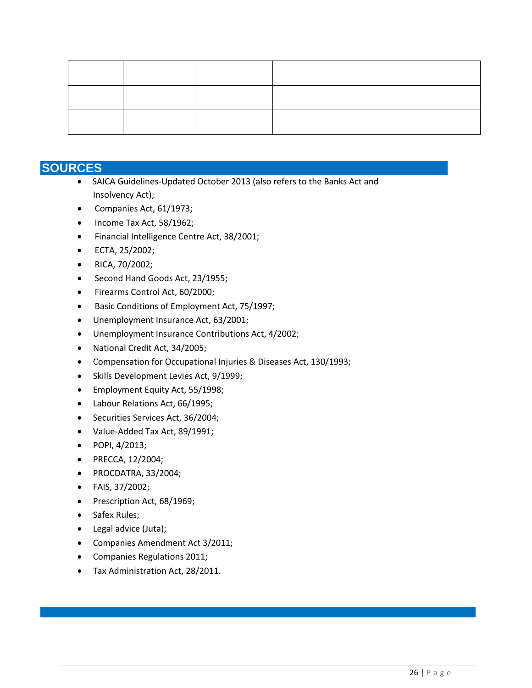### **SOURCES**

- SAICA Guidelines-Updated October 2013 (also refers to the Banks Act and Insolvency Act);
- Companies Act, 61/1973;
- Income Tax Act, 58/1962;
- Financial Intelligence Centre Act, 38/2001;
- ECTA, 25/2002;
- RICA, 70/2002;
- Second Hand Goods Act, 23/1955;
- Firearms Control Act, 60/2000;
- Basic Conditions of Employment Act, 75/1997;
- Unemployment Insurance Act, 63/2001;
- Unemployment Insurance Contributions Act, 4/2002;
- National Credit Act, 34/2005;
- Compensation for Occupational Injuries & Diseases Act, 130/1993;
- Skills Development Levies Act, 9/1999;
- Employment Equity Act, 55/1998;
- Labour Relations Act, 66/1995;
- Securities Services Act, 36/2004;
- Value-Added Tax Act, 89/1991;
- POPI, 4/2013;
- PRECCA, 12/2004;
- PROCDATRA, 33/2004;
- FAIS, 37/2002;
- Prescription Act, 68/1969;
- Safex Rules;
- Legal advice (Juta);
- Companies Amendment Act 3/2011;
- Companies Regulations 2011;
- Tax Administration Act, 28/2011.